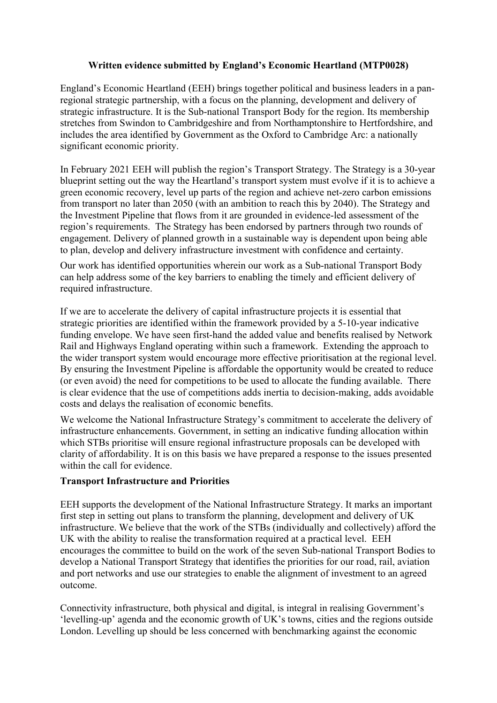## **Written evidence submitted by England's Economic Heartland (MTP0028)**

England's Economic Heartland (EEH) brings together political and business leaders in a panregional strategic partnership, with a focus on the planning, development and delivery of strategic infrastructure. It is the Sub-national Transport Body for the region. Its membership stretches from Swindon to Cambridgeshire and from Northamptonshire to Hertfordshire, and includes the area identified by Government as the Oxford to Cambridge Arc: a nationally significant economic priority.

In February 2021 EEH will publish the region's Transport Strategy. The Strategy is a 30-year blueprint setting out the way the Heartland's transport system must evolve if it is to achieve a green economic recovery, level up parts of the region and achieve net-zero carbon emissions from transport no later than 2050 (with an ambition to reach this by 2040). The Strategy and the Investment Pipeline that flows from it are grounded in evidence-led assessment of the region's requirements. The Strategy has been endorsed by partners through two rounds of engagement. Delivery of planned growth in a sustainable way is dependent upon being able to plan, develop and delivery infrastructure investment with confidence and certainty.

Our work has identified opportunities wherein our work as a Sub-national Transport Body can help address some of the key barriers to enabling the timely and efficient delivery of required infrastructure.

If we are to accelerate the delivery of capital infrastructure projects it is essential that strategic priorities are identified within the framework provided by a 5-10-year indicative funding envelope. We have seen first-hand the added value and benefits realised by Network Rail and Highways England operating within such a framework. Extending the approach to the wider transport system would encourage more effective prioritisation at the regional level. By ensuring the Investment Pipeline is affordable the opportunity would be created to reduce (or even avoid) the need for competitions to be used to allocate the funding available. There is clear evidence that the use of competitions adds inertia to decision-making, adds avoidable costs and delays the realisation of economic benefits.

We welcome the National Infrastructure Strategy's commitment to accelerate the delivery of infrastructure enhancements. Government, in setting an indicative funding allocation within which STBs prioritise will ensure regional infrastructure proposals can be developed with clarity of affordability. It is on this basis we have prepared a response to the issues presented within the call for evidence.

## **Transport Infrastructure and Priorities**

EEH supports the development of the National Infrastructure Strategy. It marks an important first step in setting out plans to transform the planning, development and delivery of UK infrastructure. We believe that the work of the STBs (individually and collectively) afford the UK with the ability to realise the transformation required at a practical level. EEH encourages the committee to build on the work of the seven Sub-national Transport Bodies to develop a National Transport Strategy that identifies the priorities for our road, rail, aviation and port networks and use our strategies to enable the alignment of investment to an agreed outcome.

Connectivity infrastructure, both physical and digital, is integral in realising Government's 'levelling-up' agenda and the economic growth of UK's towns, cities and the regions outside London. Levelling up should be less concerned with benchmarking against the economic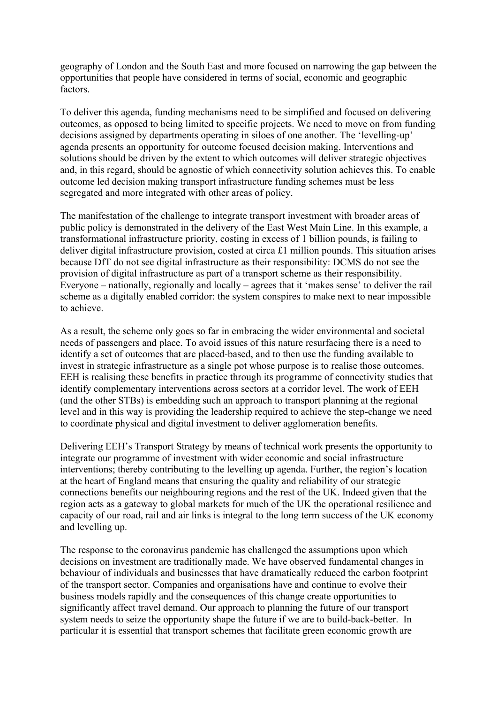geography of London and the South East and more focused on narrowing the gap between the opportunities that people have considered in terms of social, economic and geographic factors.

To deliver this agenda, funding mechanisms need to be simplified and focused on delivering outcomes, as opposed to being limited to specific projects. We need to move on from funding decisions assigned by departments operating in siloes of one another. The 'levelling-up' agenda presents an opportunity for outcome focused decision making. Interventions and solutions should be driven by the extent to which outcomes will deliver strategic objectives and, in this regard, should be agnostic of which connectivity solution achieves this. To enable outcome led decision making transport infrastructure funding schemes must be less segregated and more integrated with other areas of policy.

The manifestation of the challenge to integrate transport investment with broader areas of public policy is demonstrated in the delivery of the East West Main Line. In this example, a transformational infrastructure priority, costing in excess of 1 billion pounds, is failing to deliver digital infrastructure provision, costed at circa £1 million pounds. This situation arises because DfT do not see digital infrastructure as their responsibility: DCMS do not see the provision of digital infrastructure as part of a transport scheme as their responsibility. Everyone – nationally, regionally and locally – agrees that it 'makes sense' to deliver the rail scheme as a digitally enabled corridor: the system conspires to make next to near impossible to achieve.

As a result, the scheme only goes so far in embracing the wider environmental and societal needs of passengers and place. To avoid issues of this nature resurfacing there is a need to identify a set of outcomes that are placed-based, and to then use the funding available to invest in strategic infrastructure as a single pot whose purpose is to realise those outcomes. EEH is realising these benefits in practice through its programme of connectivity studies that identify complementary interventions across sectors at a corridor level. The work of EEH (and the other STBs) is embedding such an approach to transport planning at the regional level and in this way is providing the leadership required to achieve the step-change we need to coordinate physical and digital investment to deliver agglomeration benefits.

Delivering EEH's Transport Strategy by means of technical work presents the opportunity to integrate our programme of investment with wider economic and social infrastructure interventions; thereby contributing to the levelling up agenda. Further, the region's location at the heart of England means that ensuring the quality and reliability of our strategic connections benefits our neighbouring regions and the rest of the UK. Indeed given that the region acts as a gateway to global markets for much of the UK the operational resilience and capacity of our road, rail and air links is integral to the long term success of the UK economy and levelling up.

The response to the coronavirus pandemic has challenged the assumptions upon which decisions on investment are traditionally made. We have observed fundamental changes in behaviour of individuals and businesses that have dramatically reduced the carbon footprint of the transport sector. Companies and organisations have and continue to evolve their business models rapidly and the consequences of this change create opportunities to significantly affect travel demand. Our approach to planning the future of our transport system needs to seize the opportunity shape the future if we are to build-back-better. In particular it is essential that transport schemes that facilitate green economic growth are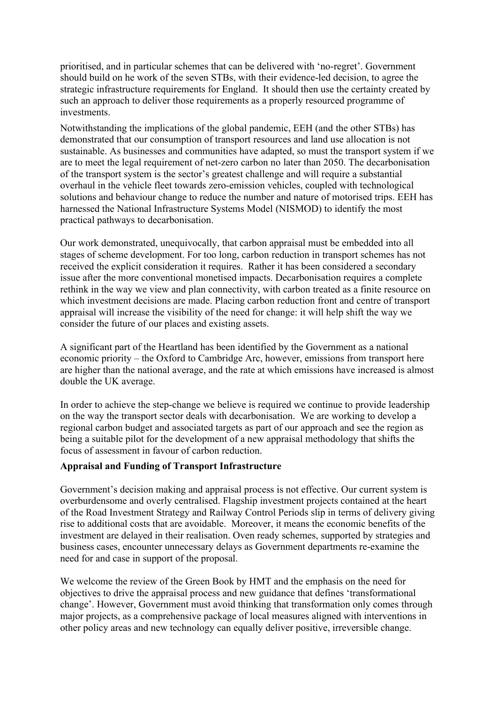prioritised, and in particular schemes that can be delivered with 'no-regret'. Government should build on he work of the seven STBs, with their evidence-led decision, to agree the strategic infrastructure requirements for England. It should then use the certainty created by such an approach to deliver those requirements as a properly resourced programme of investments.

Notwithstanding the implications of the global pandemic, EEH (and the other STBs) has demonstrated that our consumption of transport resources and land use allocation is not sustainable. As businesses and communities have adapted, so must the transport system if we are to meet the legal requirement of net-zero carbon no later than 2050. The decarbonisation of the transport system is the sector's greatest challenge and will require a substantial overhaul in the vehicle fleet towards zero-emission vehicles, coupled with technological solutions and behaviour change to reduce the number and nature of motorised trips. EEH has harnessed the National Infrastructure Systems Model (NISMOD) to identify the most practical pathways to decarbonisation.

Our work demonstrated, unequivocally, that carbon appraisal must be embedded into all stages of scheme development. For too long, carbon reduction in transport schemes has not received the explicit consideration it requires. Rather it has been considered a secondary issue after the more conventional monetised impacts. Decarbonisation requires a complete rethink in the way we view and plan connectivity, with carbon treated as a finite resource on which investment decisions are made. Placing carbon reduction front and centre of transport appraisal will increase the visibility of the need for change: it will help shift the way we consider the future of our places and existing assets.

A significant part of the Heartland has been identified by the Government as a national economic priority – the Oxford to Cambridge Arc, however, emissions from transport here are higher than the national average, and the rate at which emissions have increased is almost double the UK average.

In order to achieve the step-change we believe is required we continue to provide leadership on the way the transport sector deals with decarbonisation. We are working to develop a regional carbon budget and associated targets as part of our approach and see the region as being a suitable pilot for the development of a new appraisal methodology that shifts the focus of assessment in favour of carbon reduction.

## **Appraisal and Funding of Transport Infrastructure**

Government's decision making and appraisal process is not effective. Our current system is overburdensome and overly centralised. Flagship investment projects contained at the heart of the Road Investment Strategy and Railway Control Periods slip in terms of delivery giving rise to additional costs that are avoidable. Moreover, it means the economic benefits of the investment are delayed in their realisation. Oven ready schemes, supported by strategies and business cases, encounter unnecessary delays as Government departments re-examine the need for and case in support of the proposal.

We welcome the review of the Green Book by HMT and the emphasis on the need for objectives to drive the appraisal process and new guidance that defines 'transformational change'. However, Government must avoid thinking that transformation only comes through major projects, as a comprehensive package of local measures aligned with interventions in other policy areas and new technology can equally deliver positive, irreversible change.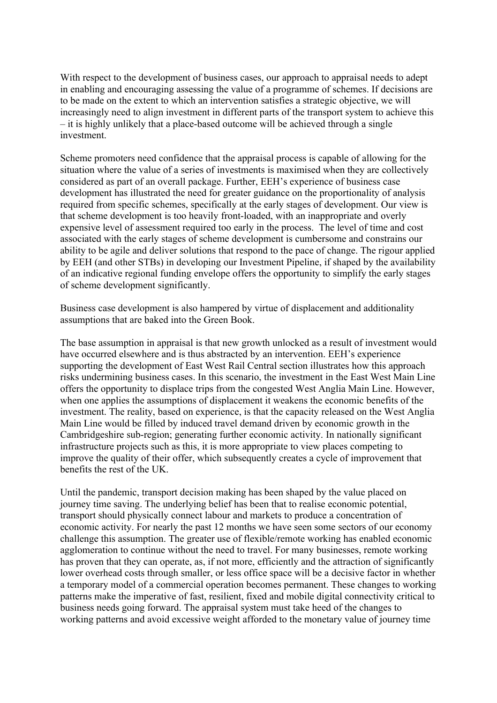With respect to the development of business cases, our approach to appraisal needs to adept in enabling and encouraging assessing the value of a programme of schemes. If decisions are to be made on the extent to which an intervention satisfies a strategic objective, we will increasingly need to align investment in different parts of the transport system to achieve this – it is highly unlikely that a place-based outcome will be achieved through a single investment.

Scheme promoters need confidence that the appraisal process is capable of allowing for the situation where the value of a series of investments is maximised when they are collectively considered as part of an overall package. Further, EEH's experience of business case development has illustrated the need for greater guidance on the proportionality of analysis required from specific schemes, specifically at the early stages of development. Our view is that scheme development is too heavily front-loaded, with an inappropriate and overly expensive level of assessment required too early in the process. The level of time and cost associated with the early stages of scheme development is cumbersome and constrains our ability to be agile and deliver solutions that respond to the pace of change. The rigour applied by EEH (and other STBs) in developing our Investment Pipeline, if shaped by the availability of an indicative regional funding envelope offers the opportunity to simplify the early stages of scheme development significantly.

Business case development is also hampered by virtue of displacement and additionality assumptions that are baked into the Green Book.

The base assumption in appraisal is that new growth unlocked as a result of investment would have occurred elsewhere and is thus abstracted by an intervention. EEH's experience supporting the development of East West Rail Central section illustrates how this approach risks undermining business cases. In this scenario, the investment in the East West Main Line offers the opportunity to displace trips from the congested West Anglia Main Line. However, when one applies the assumptions of displacement it weakens the economic benefits of the investment. The reality, based on experience, is that the capacity released on the West Anglia Main Line would be filled by induced travel demand driven by economic growth in the Cambridgeshire sub-region; generating further economic activity. In nationally significant infrastructure projects such as this, it is more appropriate to view places competing to improve the quality of their offer, which subsequently creates a cycle of improvement that benefits the rest of the UK.

Until the pandemic, transport decision making has been shaped by the value placed on journey time saving. The underlying belief has been that to realise economic potential, transport should physically connect labour and markets to produce a concentration of economic activity. For nearly the past 12 months we have seen some sectors of our economy challenge this assumption. The greater use of flexible/remote working has enabled economic agglomeration to continue without the need to travel. For many businesses, remote working has proven that they can operate, as, if not more, efficiently and the attraction of significantly lower overhead costs through smaller, or less office space will be a decisive factor in whether a temporary model of a commercial operation becomes permanent. These changes to working patterns make the imperative of fast, resilient, fixed and mobile digital connectivity critical to business needs going forward. The appraisal system must take heed of the changes to working patterns and avoid excessive weight afforded to the monetary value of journey time